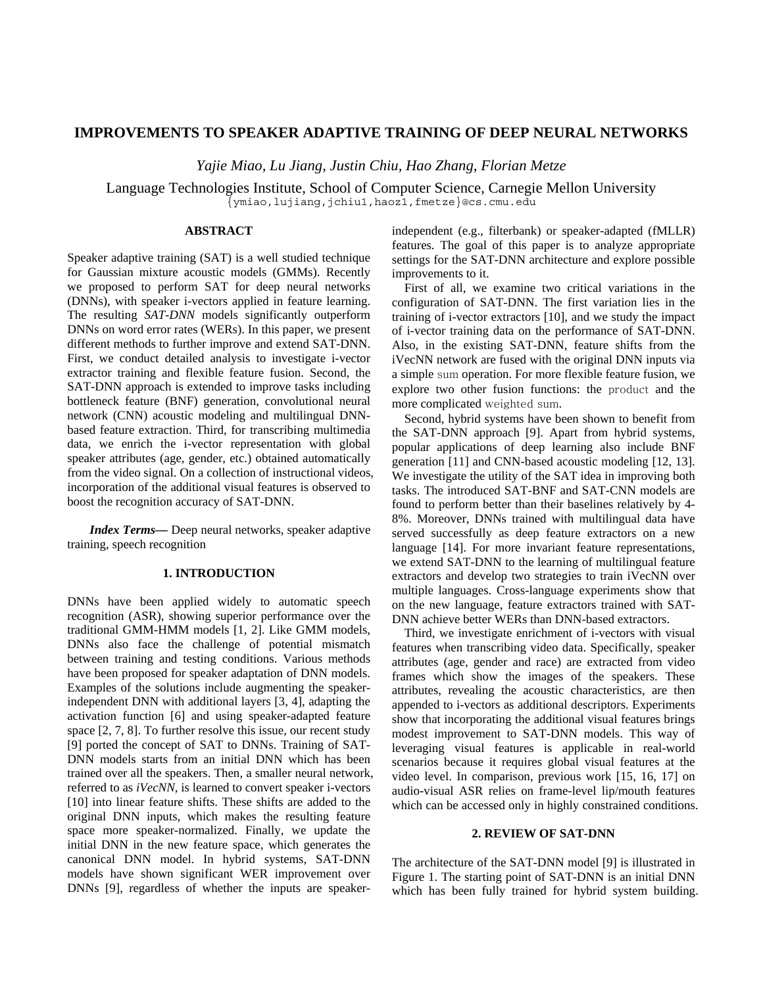# **IMPROVEMENTS TO SPEAKER ADAPTIVE TRAINING OF DEEP NEURAL NETWORKS**

*Yajie Miao, Lu Jiang, Justin Chiu, Hao Zhang, Florian Metze* 

Language Technologies Institute, School of Computer Science, Carnegie Mellon University {ymiao,lujiang,jchiu1,haoz1,fmetze}@cs.cmu.edu

### **ABSTRACT**

Speaker adaptive training (SAT) is a well studied technique for Gaussian mixture acoustic models (GMMs). Recently we proposed to perform SAT for deep neural networks (DNNs), with speaker i-vectors applied in feature learning. The resulting *SAT-DNN* models significantly outperform DNNs on word error rates (WERs). In this paper, we present different methods to further improve and extend SAT-DNN. First, we conduct detailed analysis to investigate i-vector extractor training and flexible feature fusion. Second, the SAT-DNN approach is extended to improve tasks including bottleneck feature (BNF) generation, convolutional neural network (CNN) acoustic modeling and multilingual DNNbased feature extraction. Third, for transcribing multimedia data, we enrich the i-vector representation with global speaker attributes (age, gender, etc.) obtained automatically from the video signal. On a collection of instructional videos, incorporation of the additional visual features is observed to boost the recognition accuracy of SAT-DNN.

*Index Terms—* Deep neural networks, speaker adaptive training, speech recognition

# **1. INTRODUCTION**

DNNs have been applied widely to automatic speech recognition (ASR), showing superior performance over the traditional GMM-HMM models [1, 2]. Like GMM models, DNNs also face the challenge of potential mismatch between training and testing conditions. Various methods have been proposed for speaker adaptation of DNN models. Examples of the solutions include augmenting the speakerindependent DNN with additional layers [3, 4], adapting the activation function [6] and using speaker-adapted feature space [2, 7, 8]. To further resolve this issue, our recent study [9] ported the concept of SAT to DNNs. Training of SAT-DNN models starts from an initial DNN which has been trained over all the speakers. Then, a smaller neural network, referred to as *iVecNN*, is learned to convert speaker i-vectors [10] into linear feature shifts. These shifts are added to the original DNN inputs, which makes the resulting feature space more speaker-normalized. Finally, we update the initial DNN in the new feature space, which generates the canonical DNN model. In hybrid systems, SAT-DNN models have shown significant WER improvement over DNNs [9], regardless of whether the inputs are speakerindependent (e.g., filterbank) or speaker-adapted (fMLLR) features. The goal of this paper is to analyze appropriate settings for the SAT-DNN architecture and explore possible improvements to it.

First of all, we examine two critical variations in the configuration of SAT-DNN. The first variation lies in the training of i-vector extractors [10], and we study the impact of i-vector training data on the performance of SAT-DNN. Also, in the existing SAT-DNN, feature shifts from the iVecNN network are fused with the original DNN inputs via a simple sum operation. For more flexible feature fusion, we explore two other fusion functions: the product and the more complicated weighted sum.

Second, hybrid systems have been shown to benefit from the SAT-DNN approach [9]. Apart from hybrid systems, popular applications of deep learning also include BNF generation [11] and CNN-based acoustic modeling [12, 13]. We investigate the utility of the SAT idea in improving both tasks. The introduced SAT-BNF and SAT-CNN models are found to perform better than their baselines relatively by 4- 8%. Moreover, DNNs trained with multilingual data have served successfully as deep feature extractors on a new language [14]. For more invariant feature representations, we extend SAT-DNN to the learning of multilingual feature extractors and develop two strategies to train iVecNN over multiple languages. Cross-language experiments show that on the new language, feature extractors trained with SAT-DNN achieve better WERs than DNN-based extractors.

Third, we investigate enrichment of i-vectors with visual features when transcribing video data. Specifically, speaker attributes (age, gender and race) are extracted from video frames which show the images of the speakers. These attributes, revealing the acoustic characteristics, are then appended to i-vectors as additional descriptors. Experiments show that incorporating the additional visual features brings modest improvement to SAT-DNN models. This way of leveraging visual features is applicable in real-world scenarios because it requires global visual features at the video level. In comparison, previous work [15, 16, 17] on audio-visual ASR relies on frame-level lip/mouth features which can be accessed only in highly constrained conditions.

### **2. REVIEW OF SAT-DNN**

The architecture of the SAT-DNN model [9] is illustrated in Figure 1. The starting point of SAT-DNN is an initial DNN which has been fully trained for hybrid system building.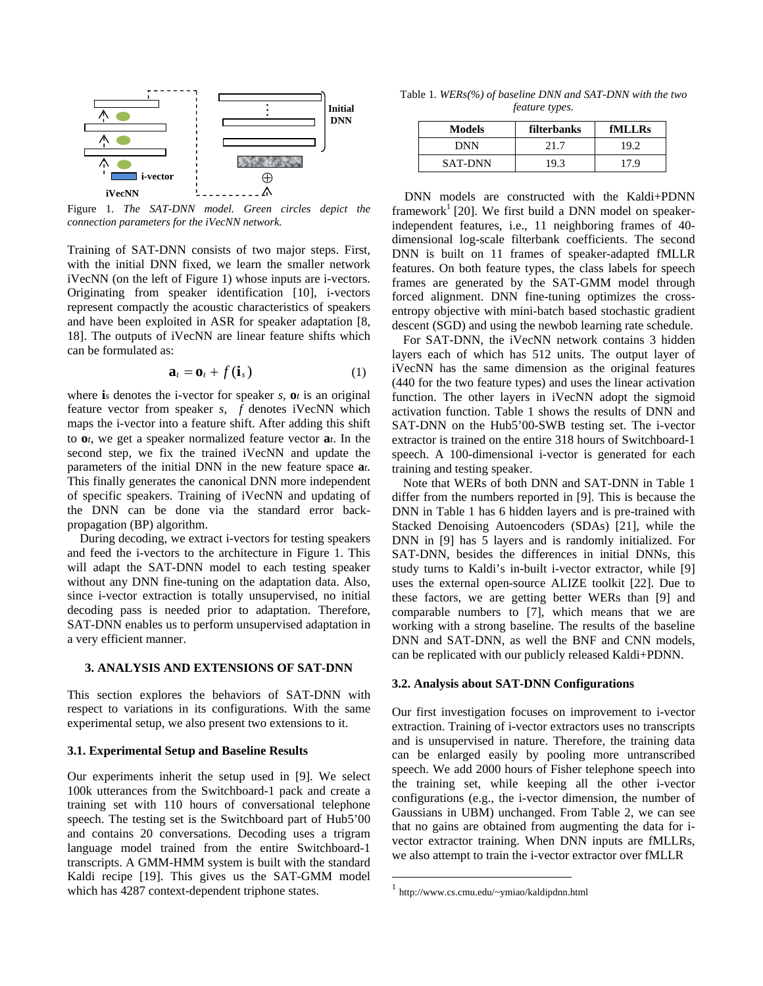

Figure 1. *The SAT-DNN model. Green circles depict the connection parameters for the iVecNN network.*

Training of SAT-DNN consists of two major steps. First, with the initial DNN fixed, we learn the smaller network iVecNN (on the left of Figure 1) whose inputs are i-vectors. Originating from speaker identification [10], i-vectors represent compactly the acoustic characteristics of speakers and have been exploited in ASR for speaker adaptation [8, 18]. The outputs of iVecNN are linear feature shifts which can be formulated as:

$$
\mathbf{a}_t = \mathbf{o}_t + f(\mathbf{i}_s) \tag{1}
$$

where **i**<sub>*s*</sub> denotes the i-vector for speaker *s*,  $\mathbf{o}$ *t* is an original feature vector from speaker *s*, *f* denotes iVecNN which maps the i-vector into a feature shift. After adding this shift to **o***t*, we get a speaker normalized feature vector **a***t*. In the second step, we fix the trained iVecNN and update the parameters of the initial DNN in the new feature space **a***t*. This finally generates the canonical DNN more independent of specific speakers. Training of iVecNN and updating of the DNN can be done via the standard error backpropagation (BP) algorithm.

During decoding, we extract i-vectors for testing speakers and feed the i-vectors to the architecture in Figure 1. This will adapt the SAT-DNN model to each testing speaker without any DNN fine-tuning on the adaptation data. Also, since i-vector extraction is totally unsupervised, no initial decoding pass is needed prior to adaptation. Therefore, SAT-DNN enables us to perform unsupervised adaptation in a very efficient manner.

#### **3. ANALYSIS AND EXTENSIONS OF SAT-DNN**

This section explores the behaviors of SAT-DNN with respect to variations in its configurations. With the same experimental setup, we also present two extensions to it.

## **3.1. Experimental Setup and Baseline Results**

Our experiments inherit the setup used in [9]. We select 100k utterances from the Switchboard-1 pack and create a training set with 110 hours of conversational telephone speech. The testing set is the Switchboard part of Hub5'00 and contains 20 conversations. Decoding uses a trigram language model trained from the entire Switchboard-1 transcripts. A GMM-HMM system is built with the standard Kaldi recipe [19]. This gives us the SAT-GMM model which has 4287 context-dependent triphone states.

Table 1*. WERs(%) of baseline DNN and SAT-DNN with the two feature types.*

| <b>Models</b>  | filterbanks | fMLLRs |
|----------------|-------------|--------|
| DNN            | 21.7        | 19.2   |
| <b>SAT-DNN</b> | 19.3        | 7 Q    |

DNN models are constructed with the Kaldi+PDNN framework<sup>1</sup> [20]. We first build a DNN model on speakerindependent features, i.e., 11 neighboring frames of 40 dimensional log-scale filterbank coefficients. The second DNN is built on 11 frames of speaker-adapted fMLLR features. On both feature types, the class labels for speech frames are generated by the SAT-GMM model through forced alignment. DNN fine-tuning optimizes the crossentropy objective with mini-batch based stochastic gradient descent (SGD) and using the newbob learning rate schedule.

For SAT-DNN, the iVecNN network contains 3 hidden layers each of which has 512 units. The output layer of iVecNN has the same dimension as the original features (440 for the two feature types) and uses the linear activation function. The other layers in iVecNN adopt the sigmoid activation function. Table 1 shows the results of DNN and SAT-DNN on the Hub5'00-SWB testing set. The i-vector extractor is trained on the entire 318 hours of Switchboard-1 speech. A 100-dimensional i-vector is generated for each training and testing speaker.

Note that WERs of both DNN and SAT-DNN in Table 1 differ from the numbers reported in [9]. This is because the DNN in Table 1 has 6 hidden layers and is pre-trained with Stacked Denoising Autoencoders (SDAs) [21], while the DNN in [9] has 5 layers and is randomly initialized. For SAT-DNN, besides the differences in initial DNNs, this study turns to Kaldi's in-built i-vector extractor, while [9] uses the external open-source ALIZE toolkit [22]. Due to these factors, we are getting better WERs than [9] and comparable numbers to [7], which means that we are working with a strong baseline. The results of the baseline DNN and SAT-DNN, as well the BNF and CNN models, can be replicated with our publicly released Kaldi+PDNN.

## **3.2. Analysis about SAT-DNN Configurations**

Our first investigation focuses on improvement to i-vector extraction. Training of i-vector extractors uses no transcripts and is unsupervised in nature. Therefore, the training data can be enlarged easily by pooling more untranscribed speech. We add 2000 hours of Fisher telephone speech into the training set, while keeping all the other i-vector configurations (e.g., the i-vector dimension, the number of Gaussians in UBM) unchanged. From Table 2, we can see that no gains are obtained from augmenting the data for ivector extractor training. When DNN inputs are fMLLRs, we also attempt to train the i-vector extractor over fMLLR

 $\overline{a}$ 

<sup>1</sup> http://www.cs.cmu.edu/~ymiao/kaldipdnn.html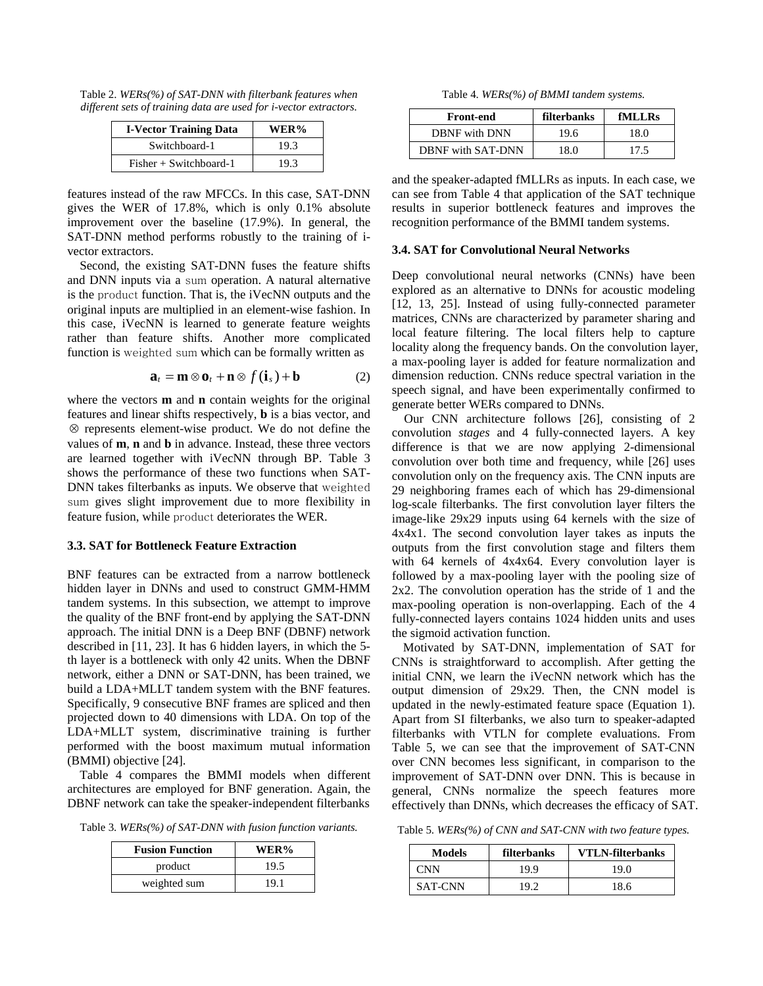Table 2. *WERs(%) of SAT-DNN with filterbank features when different sets of training data are used for i-vector extractors.*

| <b>I-Vector Training Data</b> | WER% |
|-------------------------------|------|
| Switchboard-1                 | 19.3 |
| $Fisher + Switchboard-1$      | 19.3 |

features instead of the raw MFCCs. In this case, SAT-DNN gives the WER of 17.8%, which is only 0.1% absolute improvement over the baseline (17.9%). In general, the SAT-DNN method performs robustly to the training of ivector extractors.

Second, the existing SAT-DNN fuses the feature shifts and DNN inputs via a sum operation. A natural alternative is the product function. That is, the iVecNN outputs and the original inputs are multiplied in an element-wise fashion. In this case, iVecNN is learned to generate feature weights rather than feature shifts. Another more complicated function is weighted sum which can be formally written as

$$
\mathbf{a}_t = \mathbf{m} \otimes \mathbf{o}_t + \mathbf{n} \otimes f(\mathbf{i}_s) + \mathbf{b}
$$
 (2)

where the vectors **m** and **n** contain weights for the original features and linear shifts respectively, **b** is a bias vector, and ⊗ represents element-wise product. We do not define the values of **m**, **n** and **b** in advance. Instead, these three vectors are learned together with iVecNN through BP. Table 3 shows the performance of these two functions when SAT-DNN takes filterbanks as inputs. We observe that weighted sum gives slight improvement due to more flexibility in feature fusion, while product deteriorates the WER.

## **3.3. SAT for Bottleneck Feature Extraction**

BNF features can be extracted from a narrow bottleneck hidden layer in DNNs and used to construct GMM-HMM tandem systems. In this subsection, we attempt to improve the quality of the BNF front-end by applying the SAT-DNN approach. The initial DNN is a Deep BNF (DBNF) network described in [11, 23]. It has 6 hidden layers, in which the 5 th layer is a bottleneck with only 42 units. When the DBNF network, either a DNN or SAT-DNN, has been trained, we build a LDA+MLLT tandem system with the BNF features. Specifically, 9 consecutive BNF frames are spliced and then projected down to 40 dimensions with LDA. On top of the LDA+MLLT system, discriminative training is further performed with the boost maximum mutual information (BMMI) objective [24].

Table 4 compares the BMMI models when different architectures are employed for BNF generation. Again, the DBNF network can take the speaker-independent filterbanks

Table 3. *WERs(%) of SAT-DNN with fusion function variants.*

| <b>Fusion Function</b> | WER% |
|------------------------|------|
| product                | 19.5 |
| weighted sum           | 19.1 |

Table 4. *WERs(%) of BMMI tandem systems.*

| <b>Front-end</b>         | filterbanks | fMLLRs |
|--------------------------|-------------|--------|
| DBNF with DNN            | 19.6        | 18.0   |
| <b>DBNF</b> with SAT-DNN | 18.0        | 17.5   |

and the speaker-adapted fMLLRs as inputs. In each case, we can see from Table 4 that application of the SAT technique results in superior bottleneck features and improves the recognition performance of the BMMI tandem systems.

### **3.4. SAT for Convolutional Neural Networks**

Deep convolutional neural networks (CNNs) have been explored as an alternative to DNNs for acoustic modeling [12, 13, 25]. Instead of using fully-connected parameter matrices, CNNs are characterized by parameter sharing and local feature filtering. The local filters help to capture locality along the frequency bands. On the convolution layer, a max-pooling layer is added for feature normalization and dimension reduction. CNNs reduce spectral variation in the speech signal, and have been experimentally confirmed to generate better WERs compared to DNNs.

Our CNN architecture follows [26], consisting of 2 convolution *stages* and 4 fully-connected layers. A key difference is that we are now applying 2-dimensional convolution over both time and frequency, while [26] uses convolution only on the frequency axis. The CNN inputs are 29 neighboring frames each of which has 29-dimensional log-scale filterbanks. The first convolution layer filters the image-like 29x29 inputs using 64 kernels with the size of 4x4x1. The second convolution layer takes as inputs the outputs from the first convolution stage and filters them with 64 kernels of 4x4x64. Every convolution layer is followed by a max-pooling layer with the pooling size of 2x2. The convolution operation has the stride of 1 and the max-pooling operation is non-overlapping. Each of the 4 fully-connected layers contains 1024 hidden units and uses the sigmoid activation function.

Motivated by SAT-DNN, implementation of SAT for CNNs is straightforward to accomplish. After getting the initial CNN, we learn the iVecNN network which has the output dimension of 29x29. Then, the CNN model is updated in the newly-estimated feature space (Equation 1). Apart from SI filterbanks, we also turn to speaker-adapted filterbanks with VTLN for complete evaluations. From Table 5, we can see that the improvement of SAT-CNN over CNN becomes less significant, in comparison to the improvement of SAT-DNN over DNN. This is because in general, CNNs normalize the speech features more effectively than DNNs, which decreases the efficacy of SAT.

Table 5. *WERs(%) of CNN and SAT-CNN with two feature types.*

| <b>Models</b>  | filterbanks | <b>VTLN-filterbanks</b> |
|----------------|-------------|-------------------------|
| CNN            | 19.9        | 19.0                    |
| <b>SAT-CNN</b> |             | 18.6                    |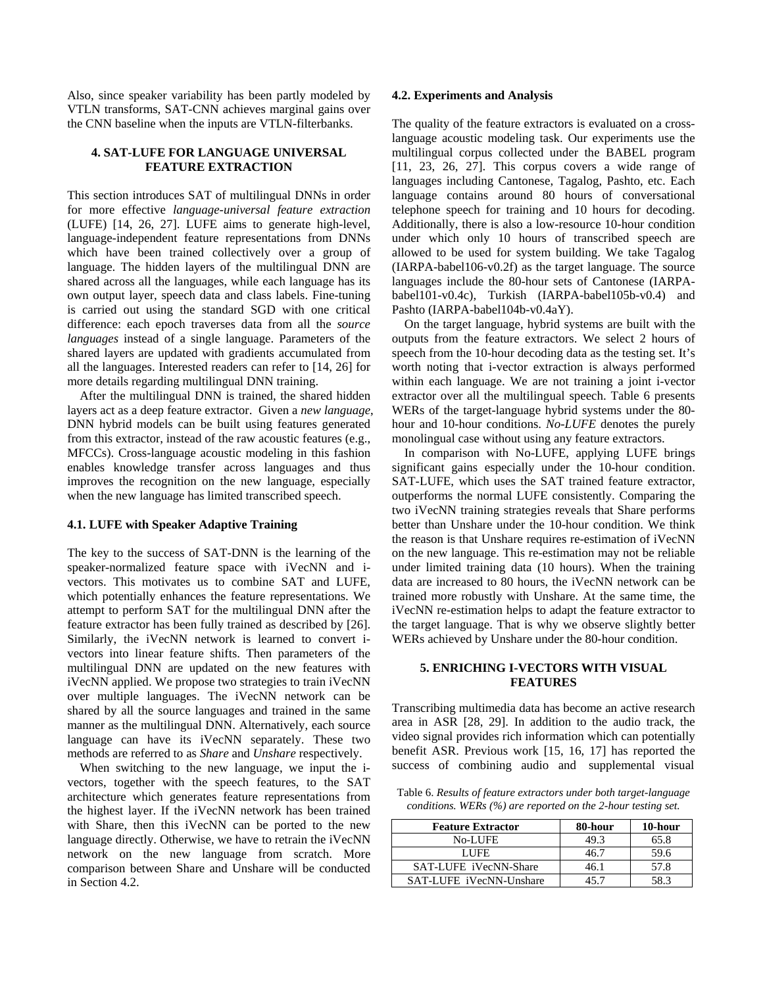Also, since speaker variability has been partly modeled by VTLN transforms, SAT-CNN achieves marginal gains over the CNN baseline when the inputs are VTLN-filterbanks.

# **4. SAT-LUFE FOR LANGUAGE UNIVERSAL FEATURE EXTRACTION**

This section introduces SAT of multilingual DNNs in order for more effective *language-universal feature extraction* (LUFE) [14, 26, 27]. LUFE aims to generate high-level, language-independent feature representations from DNNs which have been trained collectively over a group of language. The hidden layers of the multilingual DNN are shared across all the languages, while each language has its own output layer, speech data and class labels. Fine-tuning is carried out using the standard SGD with one critical difference: each epoch traverses data from all the *source languages* instead of a single language. Parameters of the shared layers are updated with gradients accumulated from all the languages. Interested readers can refer to [14, 26] for more details regarding multilingual DNN training.

 After the multilingual DNN is trained, the shared hidden layers act as a deep feature extractor. Given a *new language*, DNN hybrid models can be built using features generated from this extractor, instead of the raw acoustic features (e.g., MFCCs). Cross-language acoustic modeling in this fashion enables knowledge transfer across languages and thus improves the recognition on the new language, especially when the new language has limited transcribed speech.

## **4.1. LUFE with Speaker Adaptive Training**

The key to the success of SAT-DNN is the learning of the speaker-normalized feature space with iVecNN and ivectors. This motivates us to combine SAT and LUFE, which potentially enhances the feature representations. We attempt to perform SAT for the multilingual DNN after the feature extractor has been fully trained as described by [26]. Similarly, the iVecNN network is learned to convert ivectors into linear feature shifts. Then parameters of the multilingual DNN are updated on the new features with iVecNN applied. We propose two strategies to train iVecNN over multiple languages. The iVecNN network can be shared by all the source languages and trained in the same manner as the multilingual DNN. Alternatively, each source language can have its iVecNN separately. These two methods are referred to as *Share* and *Unshare* respectively.

When switching to the new language, we input the ivectors, together with the speech features, to the SAT architecture which generates feature representations from the highest layer. If the iVecNN network has been trained with Share, then this iVecNN can be ported to the new language directly. Otherwise, we have to retrain the iVecNN network on the new language from scratch. More comparison between Share and Unshare will be conducted in Section 4.2.

## **4.2. Experiments and Analysis**

The quality of the feature extractors is evaluated on a crosslanguage acoustic modeling task. Our experiments use the multilingual corpus collected under the BABEL program [11, 23, 26, 27]. This corpus covers a wide range of languages including Cantonese, Tagalog, Pashto, etc. Each language contains around 80 hours of conversational telephone speech for training and 10 hours for decoding. Additionally, there is also a low-resource 10-hour condition under which only 10 hours of transcribed speech are allowed to be used for system building. We take Tagalog (IARPA-babel106-v0.2f) as the target language. The source languages include the 80-hour sets of Cantonese (IARPAbabel101-v0.4c), Turkish (IARPA-babel105b-v0.4) and Pashto (IARPA-babel104b-v0.4aY).

On the target language, hybrid systems are built with the outputs from the feature extractors. We select 2 hours of speech from the 10-hour decoding data as the testing set. It's worth noting that i-vector extraction is always performed within each language. We are not training a joint i-vector extractor over all the multilingual speech. Table 6 presents WERs of the target-language hybrid systems under the 80 hour and 10-hour conditions. *No-LUFE* denotes the purely monolingual case without using any feature extractors.

In comparison with No-LUFE, applying LUFE brings significant gains especially under the 10-hour condition. SAT-LUFE, which uses the SAT trained feature extractor, outperforms the normal LUFE consistently. Comparing the two iVecNN training strategies reveals that Share performs better than Unshare under the 10-hour condition. We think the reason is that Unshare requires re-estimation of iVecNN on the new language. This re-estimation may not be reliable under limited training data (10 hours). When the training data are increased to 80 hours, the iVecNN network can be trained more robustly with Unshare. At the same time, the iVecNN re-estimation helps to adapt the feature extractor to the target language. That is why we observe slightly better WERs achieved by Unshare under the 80-hour condition.

## **5. ENRICHING I-VECTORS WITH VISUAL FEATURES**

Transcribing multimedia data has become an active research area in ASR [28, 29]. In addition to the audio track, the video signal provides rich information which can potentially benefit ASR. Previous work [15, 16, 17] has reported the success of combining audio and supplemental visual

Table 6. *Results of feature extractors under both target-language conditions. WERs (%) are reported on the 2-hour testing set.* 

| <b>Feature Extractor</b> | 80-hour | 10-hour |
|--------------------------|---------|---------|
| <b>No-LUFE</b>           | 49.3    | 65.8    |
| LUFE.                    | 46.7    | 59.6    |
| SAT-LUFE iVecNN-Share    | 46.1    | 57.8    |
| SAT-LUFE iVecNN-Unshare  |         | 58 3    |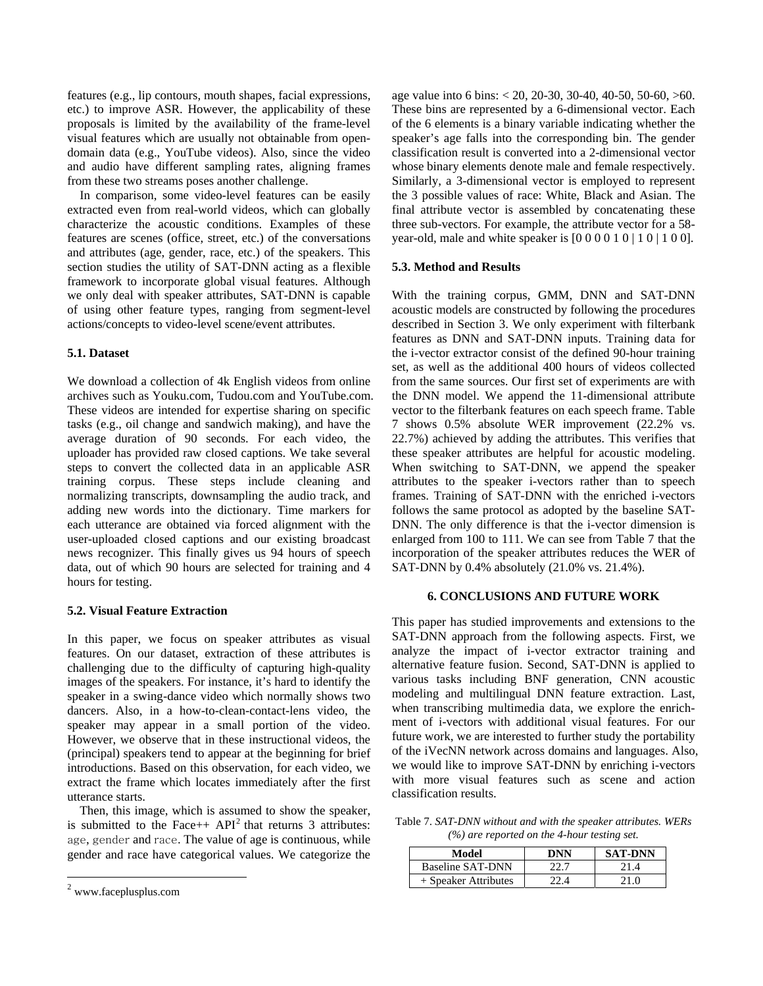features (e.g., lip contours, mouth shapes, facial expressions, etc.) to improve ASR. However, the applicability of these proposals is limited by the availability of the frame-level visual features which are usually not obtainable from opendomain data (e.g., YouTube videos). Also, since the video and audio have different sampling rates, aligning frames from these two streams poses another challenge.

In comparison, some video-level features can be easily extracted even from real-world videos, which can globally characterize the acoustic conditions. Examples of these features are scenes (office, street, etc.) of the conversations and attributes (age, gender, race, etc.) of the speakers. This section studies the utility of SAT-DNN acting as a flexible framework to incorporate global visual features. Although we only deal with speaker attributes, SAT-DNN is capable of using other feature types, ranging from segment-level actions/concepts to video-level scene/event attributes.

# **5.1. Dataset**

We download a collection of 4k English videos from online archives such as Youku.com, Tudou.com and YouTube.com. These videos are intended for expertise sharing on specific tasks (e.g., oil change and sandwich making), and have the average duration of 90 seconds. For each video, the uploader has provided raw closed captions. We take several steps to convert the collected data in an applicable ASR training corpus. These steps include cleaning and normalizing transcripts, downsampling the audio track, and adding new words into the dictionary. Time markers for each utterance are obtained via forced alignment with the user-uploaded closed captions and our existing broadcast news recognizer. This finally gives us 94 hours of speech data, out of which 90 hours are selected for training and 4 hours for testing.

## **5.2. Visual Feature Extraction**

In this paper, we focus on speaker attributes as visual features. On our dataset, extraction of these attributes is challenging due to the difficulty of capturing high-quality images of the speakers. For instance, it's hard to identify the speaker in a swing-dance video which normally shows two dancers. Also, in a how-to-clean-contact-lens video, the speaker may appear in a small portion of the video. However, we observe that in these instructional videos, the (principal) speakers tend to appear at the beginning for brief introductions. Based on this observation, for each video, we extract the frame which locates immediately after the first utterance starts.

Then, this image, which is assumed to show the speaker, is submitted to the Face++  $API<sup>2</sup>$  that returns 3 attributes: age, gender and race. The value of age is continuous, while gender and race have categorical values. We categorize the

 $\overline{a}$ 

age value into 6 bins: < 20, 20-30, 30-40, 40-50, 50-60, >60. These bins are represented by a 6-dimensional vector. Each of the 6 elements is a binary variable indicating whether the speaker's age falls into the corresponding bin. The gender classification result is converted into a 2-dimensional vector whose binary elements denote male and female respectively. Similarly, a 3-dimensional vector is employed to represent the 3 possible values of race: White, Black and Asian. The final attribute vector is assembled by concatenating these three sub-vectors. For example, the attribute vector for a 58 year-old, male and white speaker is  $[0\ 0\ 0\ 0\ 1\ 0\ 1\ 0\ 1\ 0\ 0]$ .

# **5.3. Method and Results**

With the training corpus, GMM, DNN and SAT-DNN acoustic models are constructed by following the procedures described in Section 3. We only experiment with filterbank features as DNN and SAT-DNN inputs. Training data for the i-vector extractor consist of the defined 90-hour training set, as well as the additional 400 hours of videos collected from the same sources. Our first set of experiments are with the DNN model. We append the 11-dimensional attribute vector to the filterbank features on each speech frame. Table 7 shows 0.5% absolute WER improvement (22.2% vs. 22.7%) achieved by adding the attributes. This verifies that these speaker attributes are helpful for acoustic modeling. When switching to SAT-DNN, we append the speaker attributes to the speaker i-vectors rather than to speech frames. Training of SAT-DNN with the enriched i-vectors follows the same protocol as adopted by the baseline SAT-DNN. The only difference is that the i-vector dimension is enlarged from 100 to 111. We can see from Table 7 that the incorporation of the speaker attributes reduces the WER of SAT-DNN by 0.4% absolutely (21.0% vs. 21.4%).

# **6. CONCLUSIONS AND FUTURE WORK**

This paper has studied improvements and extensions to the SAT-DNN approach from the following aspects. First, we analyze the impact of i-vector extractor training and alternative feature fusion. Second, SAT-DNN is applied to various tasks including BNF generation, CNN acoustic modeling and multilingual DNN feature extraction. Last, when transcribing multimedia data, we explore the enrichment of i-vectors with additional visual features. For our future work, we are interested to further study the portability of the iVecNN network across domains and languages. Also, we would like to improve SAT-DNN by enriching i-vectors with more visual features such as scene and action classification results.

Table 7. *SAT-DNN without and with the speaker attributes. WERs (%) are reported on the 4-hour testing set.*

| Model                  | DNN | <b>SAT-DNN</b> |
|------------------------|-----|----------------|
| Baseline SAT-DNN       |     |                |
| $+$ Speaker Attributes |     | 21 O           |

<sup>2</sup> www.faceplusplus.com